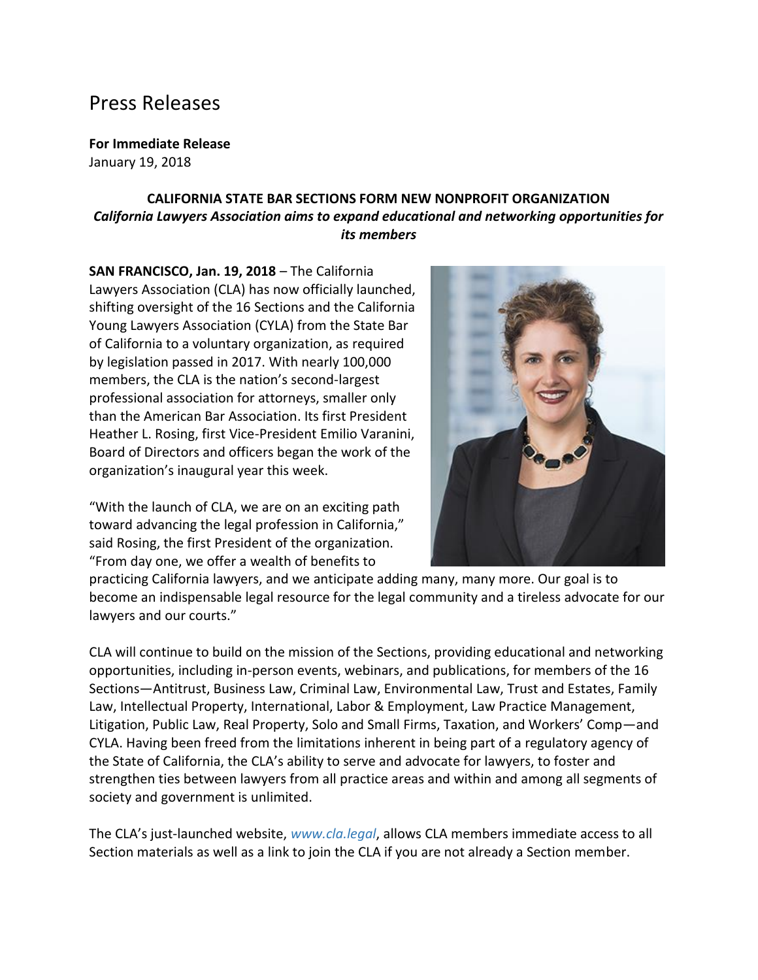## Press Releases

**For Immediate Release**

January 19, 2018

## **CALIFORNIA STATE BAR SECTIONS FORM NEW NONPROFIT ORGANIZATION** *California Lawyers Association aims to expand educational and networking opportunities for its members*

**SAN FRANCISCO, Jan. 19, 2018** – The California Lawyers Association (CLA) has now officially launched, shifting oversight of the 16 Sections and the California Young Lawyers Association (CYLA) from the State Bar of California to a voluntary organization, as required by legislation passed in 2017. With nearly 100,000 members, the CLA is the nation's second-largest professional association for attorneys, smaller only than the American Bar Association. Its first President Heather L. Rosing, first Vice-President Emilio Varanini, Board of Directors and officers began the work of the organization's inaugural year this week.

"With the launch of CLA, we are on an exciting path toward advancing the legal profession in California," said Rosing, the first President of the organization. "From day one, we offer a wealth of benefits to



practicing California lawyers, and we anticipate adding many, many more. Our goal is to become an indispensable legal resource for the legal community and a tireless advocate for our lawyers and our courts."

CLA will continue to build on the mission of the Sections, providing educational and networking opportunities, including in-person events, webinars, and publications, for members of the 16 Sections—Antitrust, Business Law, Criminal Law, Environmental Law, Trust and Estates, Family Law, Intellectual Property, International, Labor & Employment, Law Practice Management, Litigation, Public Law, Real Property, Solo and Small Firms, Taxation, and Workers' Comp—and CYLA. Having been freed from the limitations inherent in being part of a regulatory agency of the State of California, the CLA's ability to serve and advocate for lawyers, to foster and strengthen ties between lawyers from all practice areas and within and among all segments of society and government is unlimited.

The CLA's just-launched website, *[www.cla.legal](http://www.cla.legal/)*, allows CLA members immediate access to all Section materials as well as a link to join the CLA if you are not already a Section member.